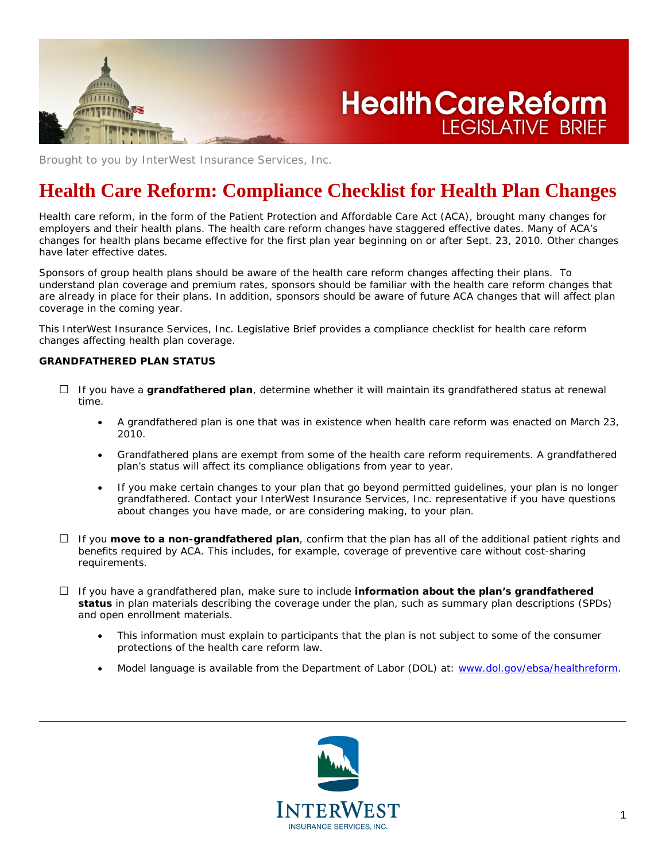

Brought to you by InterWest Insurance Services, Inc.

# **Health Care Reform: Compliance Checklist for Health Plan Changes**

**LEGISLATIVE BRIEF** 

Health care reform, in the form of the Patient Protection and Affordable Care Act (ACA), brought many changes for employers and their health plans. The health care reform changes have staggered effective dates. Many of ACA's changes for health plans became effective for the first plan year beginning on or after Sept. 23, 2010. Other changes have later effective dates.

Sponsors of group health plans should be aware of the health care reform changes affecting their plans. To understand plan coverage and premium rates, sponsors should be familiar with the health care reform changes that are already in place for their plans. In addition, sponsors should be aware of future ACA changes that will affect plan coverage in the coming year.

This InterWest Insurance Services, Inc. Legislative Brief provides a compliance checklist for health care reform changes affecting health plan coverage.

# **GRANDFATHERED PLAN STATUS**

- □ If you have a **grandfathered plan**, determine whether it will maintain its grandfathered status at renewal time.
	- A grandfathered plan is one that was in existence when health care reform was enacted on March 23, 2010.
	- Grandfathered plans are exempt from some of the health care reform requirements. A grandfathered plan's status will affect its compliance obligations from year to year.
	- If you make certain changes to your plan that go beyond permitted guidelines, your plan is no longer grandfathered. Contact your InterWest Insurance Services, Inc. representative if you have questions about changes you have made, or are considering making, to your plan.
- $\Box$  If you **move to a non-grandfathered plan**, confirm that the plan has all of the additional patient rights and benefits required by ACA. This includes, for example, coverage of preventive care without cost-sharing requirements.
- □ If you have a grandfathered plan, make sure to include **information about the plan's grandfathered status** in plan materials describing the coverage under the plan, such as summary plan descriptions (SPDs) and open enrollment materials.
	- This information must explain to participants that the plan is not subject to some of the consumer protections of the health care reform law.
	- Model language is available from the Department of Labor (DOL) at: [www.dol.gov/ebsa/healthreform.](http://www.dol.gov/ebsa/healthreform)

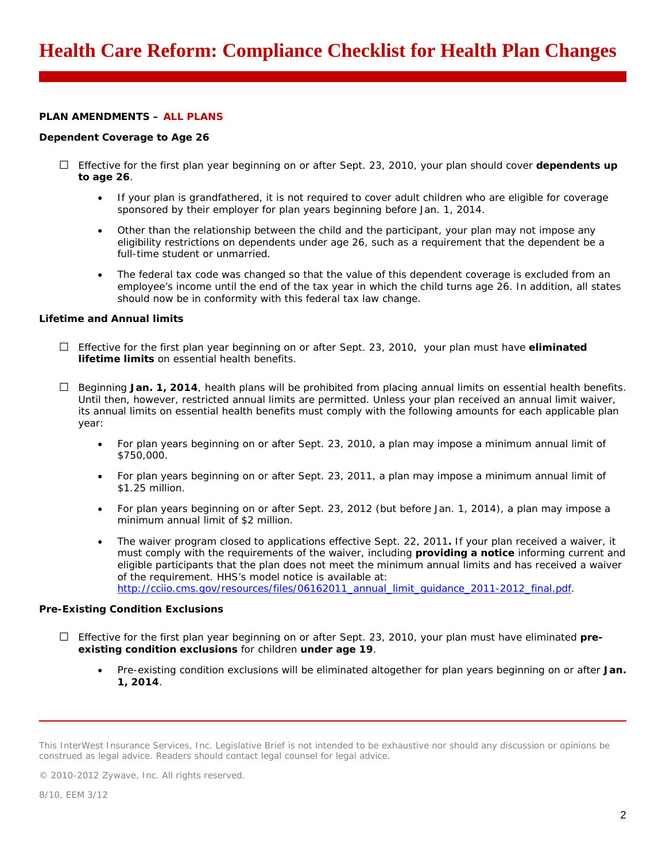# **PLAN AMENDMENTS – ALL PLANS**

## *Dependent Coverage to Age 26*

- □ Effective for the first plan year beginning on or after Sept. 23, 2010, your plan should cover **dependents up to age 26**.
	- If your plan is grandfathered, it is not required to cover adult children who are eligible for coverage sponsored by their employer for plan years beginning before Jan. 1, 2014.
	- Other than the relationship between the child and the participant, your plan may not impose any eligibility restrictions on dependents under age 26, such as a requirement that the dependent be a full-time student or unmarried.
	- The federal tax code was changed so that the value of this dependent coverage is excluded from an employee's income until the end of the tax year in which the child turns age 26. In addition, all states should now be in conformity with this federal tax law change.

# *Lifetime and Annual limits*

- □ Effective for the first plan year beginning on or after Sept. 23, 2010, your plan must have **eliminated lifetime limits** on essential health benefits.
- $\Box$  Beginning **Jan. 1, 2014**, health plans will be prohibited from placing annual limits on essential health benefits. Until then, however, restricted annual limits are permitted. Unless your plan received an annual limit waiver, its annual limits on essential health benefits must comply with the following amounts for each applicable plan year:
	- For plan years beginning on or after Sept. 23, 2010, a plan may impose a minimum annual limit of \$750,000.
	- For plan years beginning on or after Sept. 23, 2011, a plan may impose a minimum annual limit of \$1.25 million.
	- For plan years beginning on or after Sept. 23, 2012 (but before Jan. 1, 2014), a plan may impose a minimum annual limit of \$2 million.
	- The waiver program closed to applications effective Sept. 22, 2011**.** If your plan received a waiver, it must comply with the requirements of the waiver, including **providing a notice** informing current and eligible participants that the plan does not meet the minimum annual limits and has received a waiver of the requirement. HHS's model notice is available at: [http://cciio.cms.gov/resources/files/06162011\\_annual\\_limit\\_guidance\\_2011-2012\\_final.pdf.](http://cciio.cms.gov/resources/files/06162011_annual_limit_guidance_2011-2012_final.pdf)

# *Pre-Existing Condition Exclusions*

- □ Effective for the first plan year beginning on or after Sept. 23, 2010, your plan must have eliminated **preexisting condition exclusions** for children **under age 19**.
	- Pre-existing condition exclusions will be eliminated altogether for plan years beginning on or after **Jan. 1, 2014**.

© 2010-2012 Zywave, Inc. All rights reserved.

This InterWest Insurance Services, Inc. Legislative Brief is not intended to be exhaustive nor should any discussion or opinions be construed as legal advice. Readers should contact legal counsel for legal advice.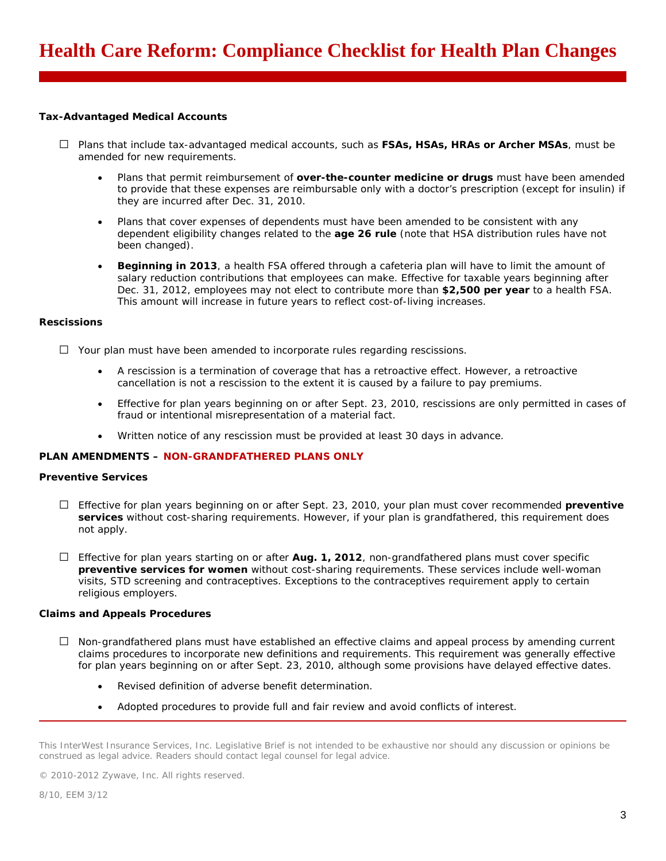## *Tax-Advantaged Medical Accounts*

- □ Plans that include tax-advantaged medical accounts, such as **FSAs, HSAs, HRAs or Archer MSAs**, must be amended for new requirements.
	- Plans that permit reimbursement of **over-the-counter medicine or drugs** must have been amended to provide that these expenses are reimbursable only with a doctor's prescription (except for insulin) if they are incurred after Dec. 31, 2010.
	- Plans that cover expenses of dependents must have been amended to be consistent with any dependent eligibility changes related to the **age 26 rule** (note that HSA distribution rules have not been changed).
	- **Beginning in 2013**, a health FSA offered through a cafeteria plan will have to limit the amount of salary reduction contributions that employees can make. Effective for taxable years beginning after Dec. 31, 2012, employees may not elect to contribute more than **\$2,500 per year** to a health FSA. This amount will increase in future years to reflect cost-of-living increases.

## *Rescissions*

- $\Box$  Your plan must have been amended to incorporate rules regarding rescissions.
	- A rescission is a termination of coverage that has a retroactive effect. However, a retroactive cancellation is not a rescission to the extent it is caused by a failure to pay premiums.
	- Effective for plan years beginning on or after Sept. 23, 2010, rescissions are only permitted in cases of fraud or intentional misrepresentation of a material fact.
	- Written notice of any rescission must be provided at least 30 days in advance.

# **PLAN AMENDMENTS – NON-GRANDFATHERED PLANS ONLY**

# *Preventive Services*

- □ Effective for plan years beginning on or after Sept. 23, 2010, your plan must cover recommended **preventive services** without cost-sharing requirements. However, if your plan is grandfathered, this requirement does not apply.
- □ Effective for plan years starting on or after **Aug. 1, 2012**, non-grandfathered plans must cover specific **preventive services for women** without cost-sharing requirements. These services include well-woman visits, STD screening and contraceptives. Exceptions to the contraceptives requirement apply to certain religious employers.

## *Claims and Appeals Procedures*

- $\Box$  Non-grandfathered plans must have established an effective claims and appeal process by amending current claims procedures to incorporate new definitions and requirements. This requirement was generally effective for plan years beginning on or after Sept. 23, 2010, although some provisions have delayed effective dates.
	- Revised definition of adverse benefit determination.
	- Adopted procedures to provide full and fair review and avoid conflicts of interest.

© 2010-2012 Zywave, Inc. All rights reserved.

8/10, EEM 3/12

This InterWest Insurance Services, Inc. Legislative Brief is not intended to be exhaustive nor should any discussion or opinions be construed as legal advice. Readers should contact legal counsel for legal advice.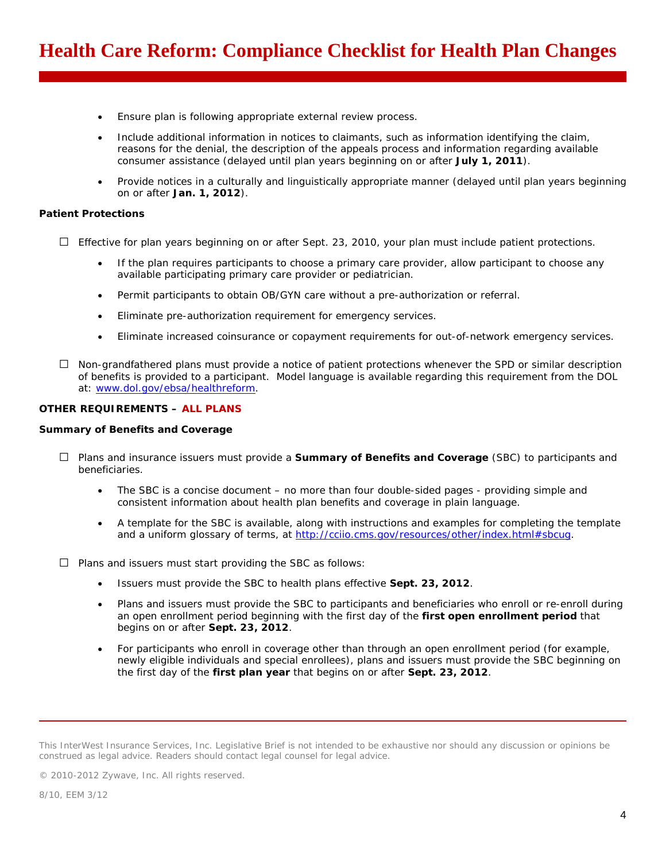- Ensure plan is following appropriate external review process.
- Include additional information in notices to claimants, such as information identifying the claim, reasons for the denial, the description of the appeals process and information regarding available consumer assistance (delayed until plan years beginning on or after **July 1, 2011**).
- Provide notices in a culturally and linguistically appropriate manner (delayed until plan years beginning on or after **Jan. 1, 2012**).

#### *Patient Protections*

 $\Box$  Effective for plan years beginning on or after Sept. 23, 2010, your plan must include patient protections.

- If the plan requires participants to choose a primary care provider, allow participant to choose any available participating primary care provider or pediatrician.
- Permit participants to obtain OB/GYN care without a pre-authorization or referral.
- Eliminate pre-authorization requirement for emergency services.
- Eliminate increased coinsurance or copayment requirements for out-of-network emergency services.
- $\Box$  Non-grandfathered plans must provide a notice of patient protections whenever the SPD or similar description of benefits is provided to a participant. Model language is available regarding this requirement from the DOL at: [www.dol.gov/ebsa/healthreform.](http://www.dol.gov/ebsa/healthreform)

## **OTHER REQUIREMENTS – ALL PLANS**

#### *Summary of Benefits and Coverage*

- □ Plans and insurance issuers must provide a **Summary of Benefits and Coverage** (SBC) to participants and beneficiaries.
	- The SBC is a concise document no more than four double-sided pages providing simple and consistent information about health plan benefits and coverage in plain language.
	- A template for the SBC is available, along with instructions and examples for completing the template and a uniform glossary of terms, at [http://cciio.cms.gov/resources/other/index.html#sbcug.](http://cciio.cms.gov/resources/other/index.html#sbcug)

 $\Box$  Plans and issuers must start providing the SBC as follows:

- Issuers must provide the SBC to health plans effective **Sept. 23, 2012**.
- Plans and issuers must provide the SBC to participants and beneficiaries who enroll or re-enroll during an open enrollment period beginning with the first day of the **first open enrollment period** that begins on or after **Sept. 23, 2012**.
- For participants who enroll in coverage other than through an open enrollment period (for example, newly eligible individuals and special enrollees), plans and issuers must provide the SBC beginning on the first day of the **first plan year** that begins on or after **Sept. 23, 2012**.

© 2010-2012 Zywave, Inc. All rights reserved.

This InterWest Insurance Services, Inc. Legislative Brief is not intended to be exhaustive nor should any discussion or opinions be construed as legal advice. Readers should contact legal counsel for legal advice.